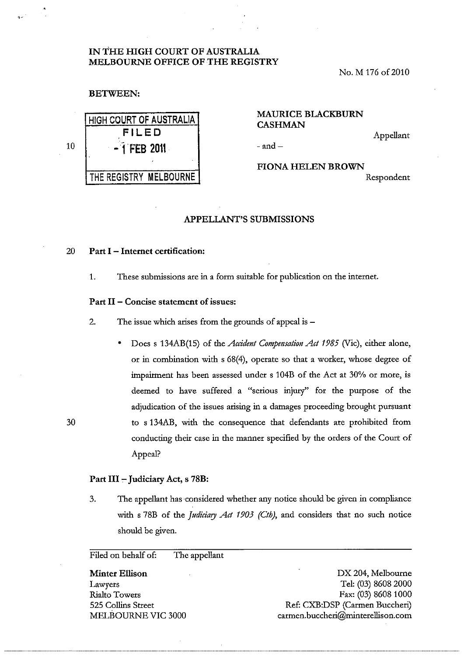# IN THE HIGH COURT OF AUSTRALIA MELBOURNE OFFICE OF THE REGISTRY

No. M 176 of 2010

## BETWEEN:

|    | <b>HIGH COURT OF AUSTRALIA</b> | .<br><b>CASH</b> |
|----|--------------------------------|------------------|
|    | FILED                          |                  |
| 10 | $-1$ FEB 2011                  | - and –          |
|    |                                | <b>FION</b>      |
|    | THE REGISTRY MELBOURNE         |                  |

# MAURICE BLACKBURN CASHMAN

Appellant

FIONA HELEN BROWN Respondent

## APPELLANT'S SUBMISSIONS

#### 20 Part I - Internet certification:

1. These submissions are in a form suitable for publication on the internet.

#### Part II - Concise statement of issues:

2. The issue which arises from the grounds of appeal is -

• Does s 134AB(15) of the *Accident Compensation Act* 1985 (Vie), either alone, or in combination with s 68(4), operate so that a worker, whose degree of impairment has been assessed under s 104B of the Act at 30% or more, is deemed to have suffered a "serious injury" for the purpose of the adjudication of the issues arising in a damages proceeding brought pursuant to s 134AB, with the consequence that defendants are prohibited from conducting their case in the manner specified by the orders of the Court of Appeal?

### Part III - Judiciary Act, s 78B:

30

3. The appellant has considered whether any notice should be given in compliance with s 78B of the *Judiciary Act 1903 (Cth),* and considers that no such notice should be given.

Filed on behalf of: The appellant

Minter Ellison Lawyers Rialto Towers 525 Collins Street MELBOURNE VIC 3000

DX 204, Melbourne Tel: (03) 86082000 Fax: (03) 8608 1000 Ref: CXB:DSP (Carmen Buccheri) carmen.buccheri@minterellison.com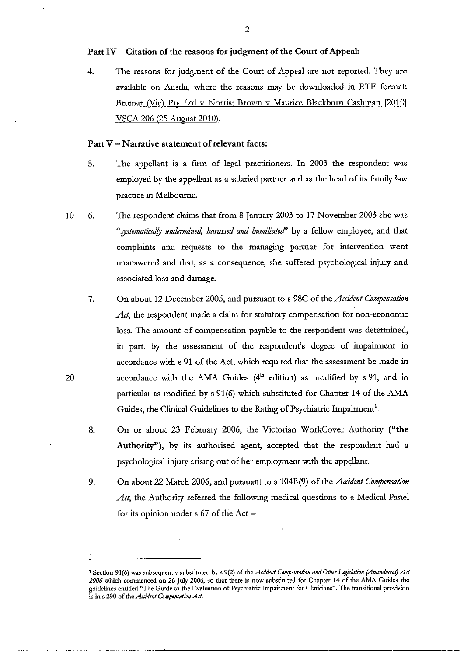## Part IV - Citation of the reasons for jndgment of the Court of Appeal:

4. The reasons for judgment of the Court of Appeal are not reported. They are available on Austlii, where the reasons may be downloaded in RTF format: Brumar (Vic) Pty Ltd v Norris; Brown v Maurice Blackburn Cashman [2010] VSCA 206 (25 August 2010).

#### Part V - Narrative statement of relevant facts:

- 5. The appellant is a firm of legal practitioners. In 2003 the respondent was employed by the appellant as a salaried partner and as the head of its family law practice in Melbourne.
- 10 6. The respondent claims that from 8 January 2003 to 17 November 2003 she was "systematically undermined, harassed and humiliated" by a fellow employee, and that complaints and requests to the managing partner for intervention went unanswered and that, as a consequence, she suffered psychological injury and associated loss and damage.
	- 7. On about 12 December 2005, and pursuant to s 98C of the *Accident Compensation*  Act, the respondent made a claim for statutory compensation for non-economic loss. The amount of compensation payable to the respondent was determined, in part, by the assessment of the respondent's degree of impairment in accordance with s 91 of the Act, which required that the assessment be made in accordance with the AMA Guides (4'h edition) as modified by s 91, and in particular as modified by s 91(6) which substituted for Chapter 14 of the AMA Guides, the Clinical Guidelines to the Rating of Psychiattic Impairment'.
	- 8. On or about 23 February 2006, the Victorian WorkCover Authority ("the Authority"), by its authorised agent, accepted that the respondent had a psychological injury arising out of her employment with the appellant.
	- 9. On about 22 March 2006, and pursuant to s 104B(9) of the *Accident Compensation*  Act, the Authority referred the following medical questions to a Medical Panel for its opinion under  $s$  67 of the Act  $-$

<sup>&</sup>lt;sup>1</sup> Section 91(6) was subsequently substituted by s 9(2) of the *Acddent Compensation and Other Legislation (Amendment) Act 2006* **which commenced on 26 July 2006, so that there is now substituted for Chapter 14 of the AMA Guides the guidelines entitled "The Guide to the Evaluation** of Psychiatric **Impainnent for Clinicians". The transitional provision**  is in s 290 of the *Accident Compensation Act*.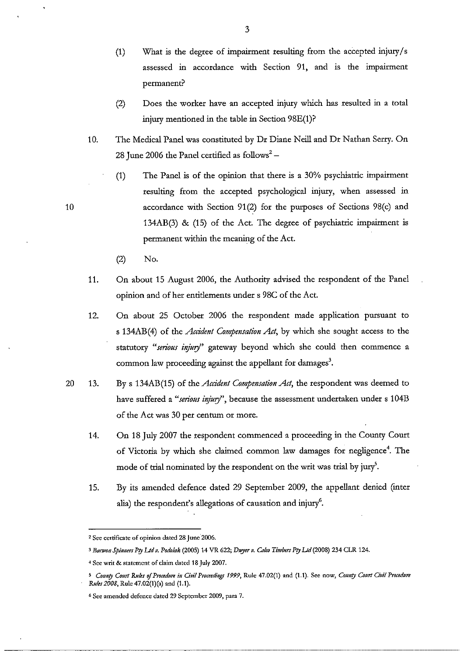- (1) What is the degree of impairment resulting from the accepted injury/s assessed in accordance with Section 91, and is the impairment permanent?
- (2) Does the worker have an accepted injury which has resulted in a total injury mentioned in the table in Section 98E(1)?
- 10. The Medical Panel was constituted by Dr Diane Neill and Dr Nathan Serry. On 28 June 2006 the Panel certified as follows<sup>2</sup> -
	- (1) The Panel is of the opinion that there is a 30% psychiatric impairment resulting from the accepted psychological injury, when assessed in accordance with Section 91(2) for the purposes of Sections 98(c) and 134AB(3) & (15) of the Act. The degree of psychiatric impairment is permanent within the meaning of the Act.
	- (2) No.

- 11. On about 15 August 2006, the Authority advised the respondent of the Panel opinion and of her entidements under s 98C of the Act.
- 12. On about 25 October 2006 the respondent made application pursuant to s 134AB(4) of the *Accident Compensation Act,* by which she sought access to the statutory "serious injury" gateway beyond which she could then commence a common law proceeding against the appellant for damages<sup>3</sup>.
- 20 13. By s 134AB(15) of the *Accident Compensation Act,* the respondent was deemed to have suffered a "serious injury", because the assessment undertaken under s 104B of the Act was 30 per centum or more.
	- 14. On 18 July 2007 the respondent commenced a proceeding in the County Court of Victoria by which she claimed common law damages for negligence<sup>4</sup>. The mode of trial nominated by the respondent on the writ was trial by jury<sup>5</sup>.
	- 15. By its amended defence dated 29 September 2009, the appellant denied (inter alia) the respondent's allegations of causation and injury<sup>6</sup>.

<sup>2</sup>**See certificate of opinion dated 28 junc'2006.** 

<sup>&</sup>lt;sup>3</sup> Barwon Spinners Pty Ltd v. Podolak (2005) 14 VR 622; *Dwyer v. Calco Timbers Pty Ltd* (2008) 234 CLR 124.

**<sup>4</sup> Sec writ & statement of claim dated 18 July 2007.** 

*<sup>5</sup> COIIIl{y COllrt Rules oJProcednre ill Civil Proceedillgs* **1999, Rule 47.02(1) and (1.1). See now,** *COUllty COllrt Civil Procedure Rules 2008*, *Rule 47.02(1)(a)* and (1.1).

<sup>6</sup> **See amended defence dated 29 September 2009, para 7.**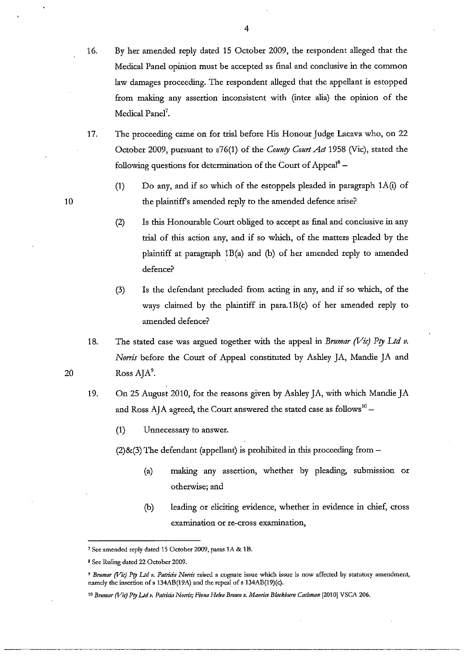- 16. By her amended reply dated 15 October 2009, the respondent alleged that the Medical Panel opinion must be accepted as final and conclusive in the common law damages proceeding. The respondent alleged that the appellant is estopped from making any assertion inconsistent with (inter alia) the opinion of the Medical Panel<sup>7</sup>.
- 17. The proceeding came on for trial before His Honour Judge Lacava who, on 22 October 2009, pursuant to s76(1) of the *County Court Act* 1958 (Vic), stated the following questions for determination of the Court of Appeal<sup>8</sup>  $-$ 
	- (1) Do any, and if so which of the estoppels pleaded in paragraph 1A(i) of the plaintiffs amended reply to the amended defence arise?
	- (2) Is this Honourable Court obliged to accept as final and conclusive in any trial of this action any, and if so which, of the matters pleaded by the plaintiff at paragraph 1B(a) and (b) of her amended reply to amended defence?
	- (3) Is the defendant precluded from acting in any, and if so which, of the ways claimed by the plaintiff in para.1B(c) of her amended reply to amended defence?
- 18. The stated case was argued together with the appeal in *Brumar (Vic) Pty Ltd v. Noms* before the Court of Appeal constituted by Ashley JA, Mandie JA and RossAJA'.
- 19. On 25 August 2010, for the reasons given by Ashley JA, with which Mandie JA and Ross AJA agreed, the Court answered the stated case as follows<sup>10</sup> –
	- (1) Unnecessary to answer.
	- $(2)$ &(3) The defendant (appellant) is prohibited in this proceeding from  $-$ 
		- (a) making any assertion, whether by pleading, submission or otherwise; and
		- (b) leading or eliciting evidence, whether in evidence in chief, cross **examination or re-cross examination,**

**<sup>7</sup> See amended reply dated 15 October 2009, paras lA & tB.** 

**<sup>8</sup> Scc Ruling dated 22 October 2009.** 

<sup>&</sup>lt;sup>9</sup> Brumar (Vie) Pty Ltd v. Patricia Norris raised a cognate issue which issue is now affected by statutory amendment, namely the insertion of s 134AB(19A) and the repeal of s 134AB(19)(c).

<sup>&</sup>lt;sup>10</sup> Brumar (Vic) Pty Ltd v. Patricia Norris; Fiona Helen Brown v. Maurice Blackburn Cashman [2010] VSCA 206.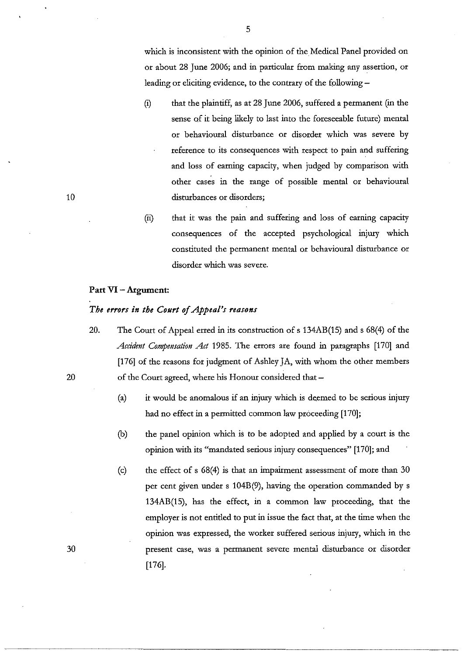which is inconsistent with the opinion of the Medical Panel provided on or about 28 June 2006; and in particular from making any assertion, or leading or eliciting evidence, to the contrary of the following –

- (i) that the plaintiff, as at 28 June 2006, suffered a permanent (in the sense of it being likely to last into the foreseeable future) mental or behavioural disturbance or disorder which was severe by reference to its consequences with respect to pain and suffering and loss of earning capacity, when judged by comparison with other cases in the range of possible mental or behavioural disturbances or disorders;
- (ii) that it was the pain and suffering and loss of earning capacity consequences of the accepted psychological injury which constituted the permanent mental or behavioural disturbance or disorder which was severe.

## Part VI - Argument:

## *The errors in the Court of Appeal's reasons*

- 20. The Court of Appeal erred in its construction of s 134AB(15) and s 68(4) of the *Accident Compensation Act* 1985. The errors are found in paragraphs [170] and [176] of the reasons for judgment of Ashley JA, with whom the other members of the Court agreed, where his Honour considered that -
	- (a) it would be anomalous if an injury which is deemed to be serious injury had no effect in a permitted common law proceeding [170];
	- (b) the panel opinion which is to be adopted and applied by a court is the opinion with its "mandated serious injury consequences" [170]; and
	- (c) the effect of s 68(4) is that an impairment assessment of more than 30 per cent given under s 104B(9), having the operation commanded by s 134AB(15), has the effect, in a common law proceeding, that the employer is not entided to put in issue the fact that, at the time when the opinion was expressed, the worker suffered serious injury, which in the present case, was a permanent severe mental disturbance or disorder [176].

20

30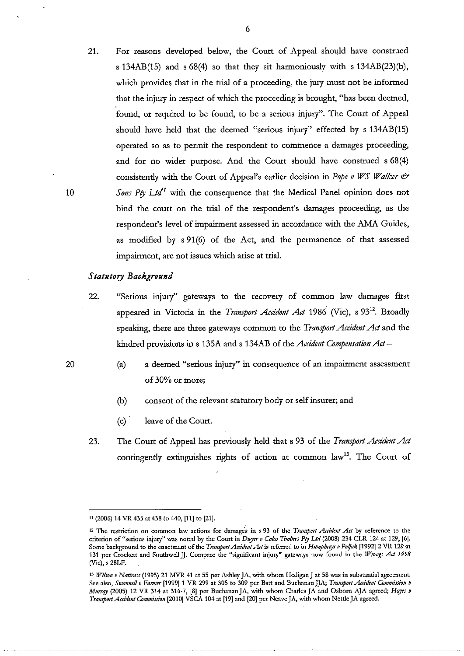21. For reasons *developed* below, the Court of Appeal should have construed s  $134AB(15)$  and s  $68(4)$  so that they sit harmoniously with s  $134AB(23)(b)$ , which provides that in the trial of a proceeding, the jury must not be informed that the injury in respect of which the proceeding is brought, "has been deemed, found, or required to be found, to be a serious injury". The Court of Appeal should have held that the deemed "serious injury" effected by s 134AB(15) operated so as to permit the respondent to commence a damages proceeding, and for no wider purpose. And the Court should have construed s 68(4) consistently with the Court of Appeal's earlier decision in *Pope v WS Walker*  $\mathcal O$ *Sons Pty Ltd*<sup>1</sup> with the consequence that the Medical Panel opinion does not bind the court on the trial of the respondent's damages proceeding, as the respondent's level of impairment assessed in accordance with the AMA Guides, as modified by s 91(6) of the Act, and the permanence of that assessed impairment, are not issues which arise at triaL

#### *Statutory Background*

- 22. "Serious injury" gateways to the *recovery* of common law damages first appeared in Victoria in the *Transport Accident Act* 1986 (Vic), s 93<sup>12</sup>. Broadly speaking, there are three gateways common to the *Transport Accident Act* and the kindred provisions in s 135A and s 134AB of the *Accident Compensation Act-*
	- (a) a deemed "serious injury" in consequence of an impairment assessment of 30% or more;
	- (b) consent of the relevant statutory body or self insurer; and
	- (c) . leave of the Court.
- 23. The Court of Appeal has previously held that s 93 of the *Transport Accident Act*  contingently extinguishes rights of action at common law<sup>13</sup>. The Court of

6

10

<sup>11 (2006) 14</sup> VR 435 at 438 to 440, (11) to (21).

<sup>&</sup>lt;sup>12</sup> The restriction on common law actions for damages in s 93 of the *Transport Accident Act* by reference to the criterion of "serious injury" was noted by the Court in *Duyer v Calco Timbers Pty Ltd* (2008) 234 CLR 124 at 129, [6]. Some background to the enactment of the *Transport Accident Act* is referred to in *Humpbreys v Poljak* [1992] 2 VR 129 at 131 per Crockett and Southwell JJ. Compare the "significant injury" gateways now found in the *Wrongs Act 1958* (Vie), s 28Lr.

<sup>&</sup>lt;sup>13</sup> *Wilson v Nattrass* (1995) 21 MVR 41 at 55 per Ashley JA, with whom Hedigan J at 58 was in substantial agreement. Sce also, *Swannell v Farmer* [1999] 1 VR 299 at 305 to 309 per Batt and Buchanan JJA; *Transport Accident Commission v Mllrrqy* **(2005) 12 Vu. 314 at 316-7, [8J per BuchananJA, with whom Charles JA and Osbom** *AJA* **agreed;** *Hoyes v TrollsportAcddelll COlnnJissiol1* **[2010] VSCA 104 at [19] and [20] per Neave JA, with whom Nettle JA agreed.**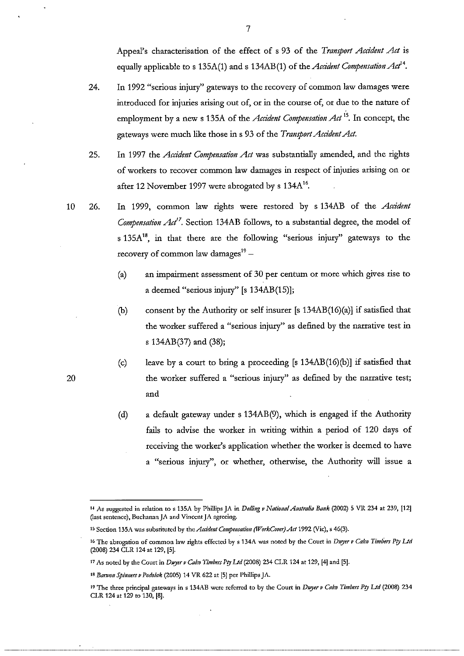Appeal's characterisation of the effect of s 93 of the *Transport Accident Act* is equally applicable to s  $135A(1)$  and s  $134AB(1)$  of the *Accident Compensation Act*<sup>14</sup>.

- 24. In 1992 "serious injury" gateways to the recovery of common law damages were introduced for injuries arising out of, or in the course of, or due to the nature of employment by a new s 135A of the *Accident Compensation Act* <sup>15</sup>. In concept, the gateways were much like those in s 93 of the *Transport Accident Act*.
- 25. In 1997 the *Acddent Compensation Act* was substantially amended, and the rights of workers to recover common law damages in respect of injuries arising on or after 12 November 1997 were abrogated by s  $134A^{16}$ .
- 26. In 1999, common law rights were restored by s 134AB of the *Acddent Compensation Act'.* Section 134AB follows, to a substantial degree, the model of s  $135A^{18}$ , in that there are the following "serious injury" gateways to the recovery of common law damages $19 -$ 
	- (a) an impairment assessment of 30 per centurn or more which gives rise to a deemed "serious injury" [s 134AB(15)];
	- (b) consent by the Authority or self insurer [s  $134AB(16)(a)$ ] if satisfied that the worker suffered a "serious injury" as defined by the narrative test in s 134AB(37) and (38);
	- (c) leave by a court to bring a proceeding  $[s 134AB(16)(b)]$  if satisfied that the worker suffered a "serious injury" as defined by the narrative test; and
	- (d) a default gateway under s 134AB(9), which is engaged if the Authority fails to advise the worker in writing within a period of 120 days of receiving the worker's application whether the worker is deemed to have a "serious injury", or whether, otherwise, the Authority will issue a

20

<sup>&</sup>lt;sup>14</sup> As suggested in relation to s 135A by Phillips JA in *Dolling v National Australia Bank* (2002) 5 VR 234 at 239, [12] **Oast sentence), Buchanan JA and Vincent JA agreeing.** 

**<sup>15</sup> Section 135A was substituted by** *thcAccidclltConpellSoliolJ (lTVorkCover)Act* **1992 (Vie), s 46(3).** 

<sup>&</sup>lt;sup>16</sup> The abrogation of common law rights effected by s 134A was noted by the Court in *Dwyer v Calco Timbers Pty Ltd* (2008) 234 CLR 124 at 129, [5].

<sup>17</sup> As noted by the Court in *Duyer v Co/co Timbers PlY Ud* (2008) 234 CLR 124 at 129, [4] and [5].

<sup>&</sup>lt;sup>18</sup> Barwon Spinners v Podolak (2005) 14 VR 622 at [5] per Phillips JA.

<sup>&</sup>lt;sup>19</sup> The three principal gateways in s 134AB were referred to by the Court in *Duyer v Calco Timbers Pty Ltd* (2008) 234 CLR 124 at 129 to 130, [8].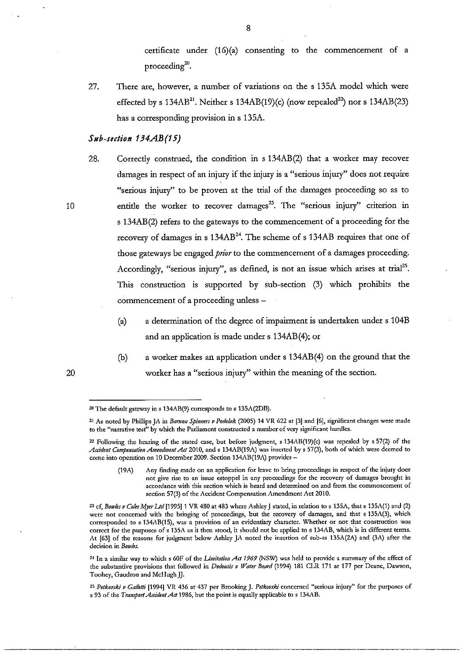certificate under (16)(a) consenting to the commencement of a  $proceeding<sup>20</sup>$ .

27. There are, however, a number of variations on the s 13SA model which were effected by s  $134AB^{21}$ . Neither s  $134AB(19)(c)$  (now repealed<sup>22</sup>) nor s  $134AB(23)$ has a corresponding provision in s 13SA.

#### *Sub-section 134AB(15)*

28. Correctly construed, the condition in s 134AB(2) that a worker may recover damages in respect of an injury if the injury is a "serious injury" does not require "serious injury" to be proven at the trial of the damages proceeding so as to entitle the worker to recover damages<sup>23</sup>. The "serious injury" criterion in s 134AB(2) refers to the gateways to the commencement of a proceeding for the recovery of damages in s  $134AB^{24}$ . The scheme of s  $134AB$  requires that one of those gateways be engaged *prior* to the commencement of a damages proceeding. Accordingly, "serious injury", as defined, is not an issue which arises at trial<sup>25</sup>. This construction is supported by sub-section (3) which prohibits the commencement of a proceeding unless -

- (a) a determination of the degree of impairment is undertaken under s 104B and an application is made under s 134AB(4); or
- (b) a worker makes an application under s 134AB(4) on the ground that the worker has a "serious injury" within the meaning of the section.

8

20

<sup>&</sup>lt;sup>20</sup> The default gateway in s 134AB(9) corresponds to s 135A(2DB).

<sup>&</sup>lt;sup>21</sup> As noted by Phillips JA in *Barwon Spinners v Podolak* (2005) 14 VR 622 at [3] and [6], significant changes were made **to the "narrative test" by which the Parliament constructed a number of very significant hurdles.** 

**<sup>22</sup> Following the hearing of the stated case, but before judgment, s 134AB(19)(c) was repealed by s 57(2) of the**  Accident Compensation Amendment Act 2010, and s 134AB(19A) was inserted by s 57(3), both of which were deemed to come into operation on 10 December 2009. Section 134AB(19A) provides -

**<sup>(191\)</sup> Any finding made on an application for leave to bring proceedings in respect of the injury does not give rise to an issue estoppel in any proceedings for the recovery of damages brought in accordance with this section which is heard and determined on and from the commencement of section 57(3) of the Accident Compensation Amendment Act 2010.** 

**<sup>23</sup> cf,** *Bowles v Coles Myer Lld* **[1995] 1 VR 480 at 483 where Ashley J stated, in relation to s 135A, that s 135A(1) and (2) were not concerned with the bringing of proceedings, but the recovery of damages, and that s 135A(3), which corresponded to s 134AB(15), was a provision of an evidentiary character. Whether or not that construction was correct for the purposes of s 135A as it then stood, it should not be applied to s 134AB,** which' is **in different terms.**  At [63] of the reasons for judgment below Ashley JA noted the insertion of sub-ss 135A(2A) and (3A) after the **decision in** *Bowles.* 

<sup>24</sup> In a similar way to which s 60F of the *Limitation Act 1969* (NSW) was held to provide a summary of the effect of the substantive provisions that followed in *Dedousis v Water Board* (1994) 181 CLR 171 at 177 per Deane, Dawson, **Toohey, Gaudron and McHugh JJ.** 

*<sup>25</sup> Pelkovski v Gallelfi* **[1994] VR 436 at 437 per Brooking J.** *Petkovski* **concerned "serious injury" for the purposes of**  s 93 of the *Transport Accident Act* 1986, but the point is equally applicable to s 134AB.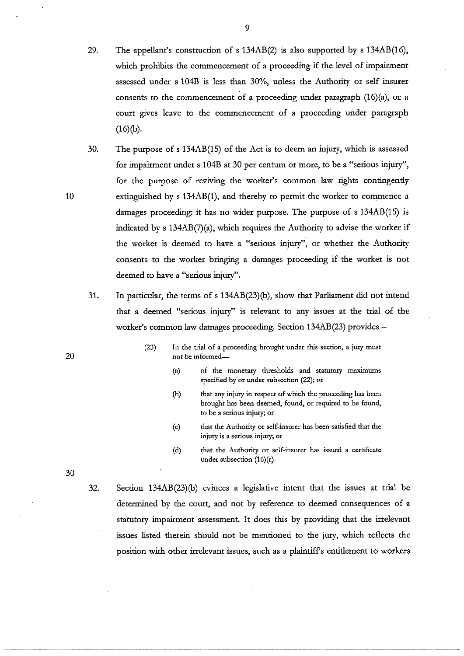- 29. The appellant's construction of s 134AB(2) is also supported by s 134AB(16), which prohibits the commencement of a proceeding if the level of impairment assessed under s 104B is less than 30%, unless the Authority or self insurer consents to the commencement of a proceeding under paragraph (16)(a), or a court gives leave to the commencement of a proceeding under paragraph  $(16)(b).$
- 30. The purpose of s 134AB(15) of the Act is to deem an injury, which is assessed for impairment under s 104B at 30 per centum or more, to be a "serious injury", for the purpose of reviving the worker's common law rights contingendy extinguished by s 134AB(1), and thereby to permit the worker to commence a damages proceeding: it has no wider purpose. The purpose of s 134AB(15) is indicated by s 134AB(7)(a), which requires the Authority to advise the worker if the worker is deemed to have a "serious injury", or whether the Authority consents to the worker bringing a damages proceeding if the worker is not deemed to have a "serious injury".
- 31. In particular, the terms of s 134AB(23)(b), show that Parliament did not intend that a deemed "serious injury" is relevant to any issues at the trial of the worker's common law damages proceeding. Section 134AB(23) provides -
	- $(23)$  . In the trial of a proceeding brought under this section, a jury must **not be informed-**
		- **(a) of the monetary thresholds and statutory maximums**  specified by or under subsection (22); or
		- (b) that any injury in respect of which the proceeding has been **brought has been deemed, found, or required to be found, to be a serious injury; or**
		- (c) that the Authority or self-insurer has been satisfied that the **injury is a serious injury; or**
		- **(cl) that the Authority or self-insurer has issued a certificate**  under subsection (16)(a).

32. Section 134AB(23)(b) evinces a legislative intent that the issues at trial be determined by the court, and not by reference to deemed consequences of a statutory impairment assessment. It does this by providing that the irrelevant issues listed therein should not be mentioned to the jury, which reflects the position with other irrelevant issues, such as a plaintiffs entidement to workers

10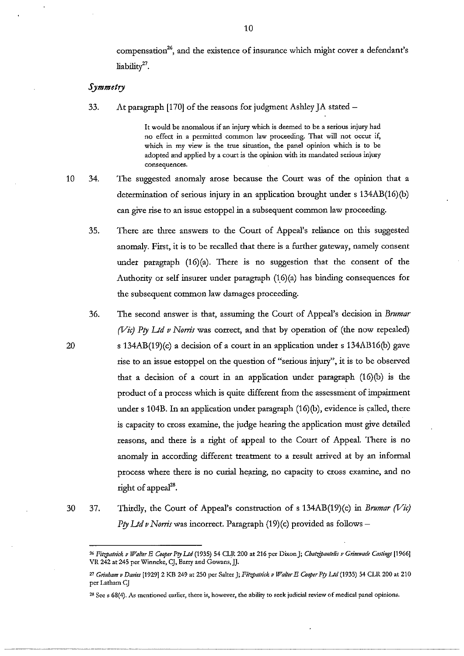compensation<sup>26</sup>, and the existence of insurance which might cover a defendant's liability27.

#### *Symmetry*

20

33. At paragraph [170] of the reasons for judgment Ashley  $[A]$  stated  $-$ 

**It would be anomalous if an injury which is deemed to be a serious injury had no effect in a permitted common law proceeding. That will not occur if, which in my view is the true situation, the panel opinion which is to be adopted and applied by a court is the opinion with its mandated serious injury consequences.** 

- 10 34. The suggested anomaly arose because the Court was of the opinion that a determination of serious injury in an application brought under s 134AB(16)(b) can *give* rise to an issue estoppel in a subsequent common law proceeding.
	- 35. There are three answers to the Court of Appeal's reliance on this suggested anomaly. First, it is to be recalled that there is a further gateway, namely consent under paragraph (16)(a). There is no suggestion that the consent of the Authority or self insurer under paragraph  $(16)(a)$  has binding consequences for the subsequent common law damages proceeding.
	- 36. The second answer is that, assuming the Court of Appeal's decision in *Brumar (Vic) Pty Ltd v Norris* was correct, and that by operation of (the now repealed) s 134AB(19)(c) a decision of a court in an application under s 134AB16(b) gave rise to an issue estoppel on the question of "serious injury", it is to be observed that a decision of a court in an application under paragraph (16)(b) is the product of a process which is quite different from the assessment of impairment under s 104B. In an application under paragraph (16)(b), evidence is called, there is capacity to cross examine, the judge hearing the application must *give* detailed reasons, and there is a right of appeal to the Court of Appeal. There is no anomaly in according different treatment to a result arrived at by an informal process where there is no curial hearing, no capacity to cross examine, and no right of appeal<sup>28</sup>.
- 30 37. Thirdly, the Court of Appeal's construction of s 134AB(19)(c) in *Brumar (Vie) Pry Lld v Noms* was incorrect. Paragraph (19)(c) provided as follows-

<sup>&</sup>lt;sup>26</sup> Fitzpatrick v Walter E Cooper Pty Ltd (1935) 54 CLR 200 at 216 per Dixon J; Chatzipantelis v Grimwade Castings [1966] **VR 242 at 245 per Winnekc, Cj. Barry and Gowans,JJ.** 

<sup>&</sup>lt;sup>27</sup> Grinham v Davies [1929] 2 KB 249 at 250 per Salter J; *Fitzpatrick v Walter E Cooper Pty Ltd* (1935) 54 CLR 200 at 210 **per Latham CJ** 

**<sup>28</sup> Scc s 68(4). As mentioned earlier, there is, however, the ability to seck judicial review of medical panel opinions.**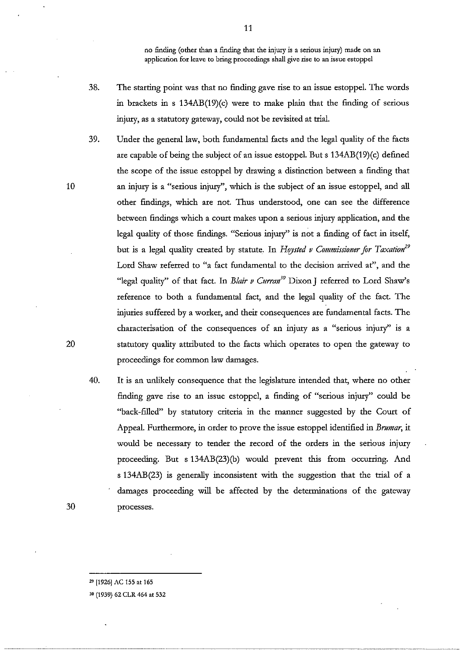no finding (other than a finding that the injury is a serious injury) made on an **application for leave to bring proceedings shall give rise to an issue estoppel** 

- 38. The starting point was that no finding gave rise to an issue estoppel. The words in brackets in s 134AB(19)(c) were to make plain that the finding of serious injury, as a statutory gateway, could not be revisited at trial.
- 39. Under the general law, both fundamental facts and the legal quality of the facts are capable of being the subject of an issue estoppel. But s 134AB(19)(c) defined the scope of the issue estoppel by drawing a distinction between a finding that an injury is a "serious injury", which is the subject of an issue estoppel, and all other findings, which are not. Thus understood, one can see the difference between findings which a court makes upon a serious injury application, and the legal quality of those findings. "Serious injury" is not a finding of fact in itself, but is a legal quality created by statute. In *Hoysted v Commissioner for Taxation*<sup>29</sup> Lord Shaw referred to "a fact fundamental to the decision arrived at", and the "legal quality" of that fact. In *Blair v Curran'°* Dixon J referred to Lord Shaw's reference to both a fundamental fact, and the legal quality of the fact. The injuries suffered by a worker, and their consequences are fundamental facts. The characterisation of the consequences of an injury as a "serious injury" is a statutory quality attributed to the facts which operates to open the gateway to proceedings for common law damages.
- 40. It is an unlikely consequence that the legislature intended that, where no other finding gave rise to an issue estoppel, a finding of "serious injury" could be "back-filled" by statutory criteria in the manner suggested by the Court of Appeal. Furthermore, in order to prove the issue estoppel identified in *Brumar,* it would be necessary to tender the record of the orders in the serious injury proceeding. But s 134AB(23)(b) would prevent this from occurring. And s 134AB(23) is generally inconsistent with the suggestion that the trial of a damages proceeding will be affected by the determinations of the gateway processes.

29 [1926] AC 155 at 165

10

20

30

30 (1939) 62 CLR 464 at 532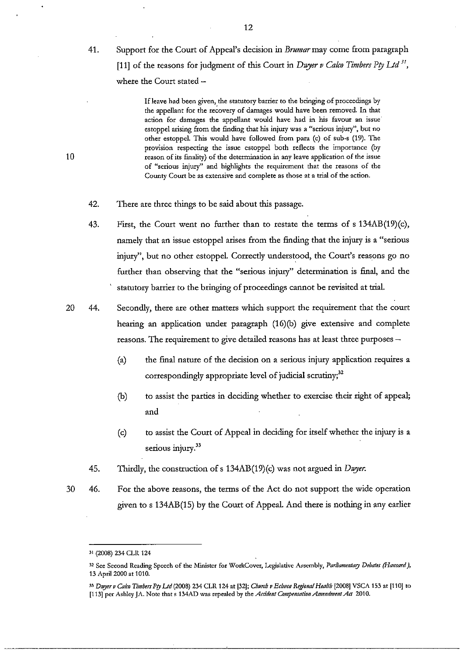41. Support for the Court of Appeal's decision in *Brumarmay* come from paragraph [11] of the reasons for judgment of this Court in *Dwyer v Calco Timbers Pty Ltd*<sup>31</sup>, where the Court stated -

> **Ifleave had been given, the statutory barrier to the bringing of proceedings by**  the appellant for the recovery of damages would have been removed. In that action for damages the appellant would have had in his favour an issue **estoppel arising from the finding that his injury was a "serious injury", but no**  other estoppel. This would have followed from para (c) of sub-s (19). The **provision respecting the issue estoppel both reflects the importance (by reason of its frnality) of the determination in any leave application of the issue of "serious injury" and highlights the requirement that the reasons of the County Court be as extensive and complete as those at a trial of the action.**

- 42. There are three things to be said about this passage.
- 43. First, the Court went no further than to restate the terms of s  $134AB(19)(c)$ , namely that an issue estoppel arises from the finding that the injury is a "serious injury", but no other estoppel. Correctly understood, the Court's reasons go no further than observing that the "serious injury" determination is final, and the statutory barrier to the bringing of proceedings cannot be revisited at triaL
- 20 44. Secondly, there are other matters which support the requirement that the court hearing an application under paragraph (16)(b) give extensive and complete reasons. The requirement to give detailed reasons has at least three purposes -
	- (a) the final nature of the decision on a serious injury application requires a correspondingly appropriate level of judicial scrutiny; $32$
	- (b) to assist the parties in deciding whether to exercise their right of appeal; and
	- (c) to assist the Court of Appeal in deciding for itself whether the injury is a serious injury.<sup>33</sup>
	- 45. Thirdly, the construction of s 134AB(19)(c) was not argued in *Dwyer*.
- 30 46. For the above reasons, the terms of the Act do not support the wide operation given to s 134AB(15) by the Court of Appeal. And there is nothing in any earlier

<sup>31 (2008) 234</sup> CLlt 124

<sup>&</sup>lt;sup>32</sup> See Second Reading Speech of the Minister for WorkCover, Legislative Assembly, *Parliamentary Debates (Hansard)*, 13 April 2000 at 1010.

<sup>&</sup>lt;sup>33</sup> Duyer v Calco Timbers Pty Ltd (2008) 234 CLR 124 at [32]; *Church v Echuca Regional Health* [2008] VSCA 153 at [110] to [113] per Ashley JA. Note that s 134AD was repealed by the *Accident Compensation Amendment Act* 2010.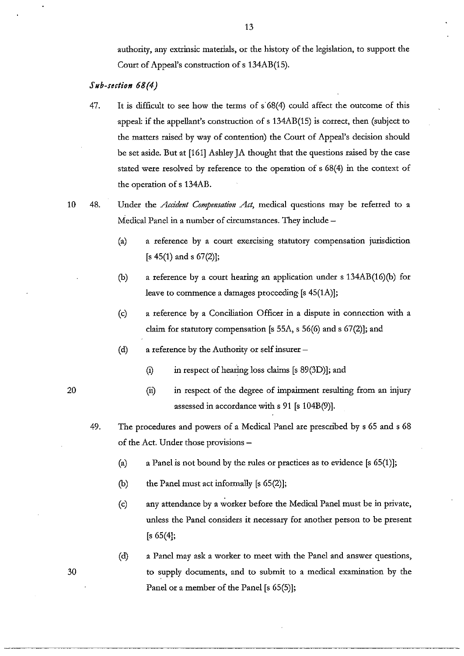authority, any extrinsic materials, or the history of the legislation, to support the Court of Appeal's construction of s 134AB(15).

## *Sub-section 68(4)*

- 47. It is difficult to see how the terms of  $s'68(4)$  could affect the outcome of this appeal: if the appellant's construction of s 134AB(15) is correct, then (subject to the matters raised by way of contention) the Court of Appeal's decision should be set aside. But at [161] Ashley JA thought that the questions raised by the case stated were resolved by reference to the operation of s 68(4) in the context of the operation of s 134AB.
- 10 48. Under the *Accident Compensation Act,* medical questions may be referred to a Medical Panel in a number of circumstances. They include -
	- (a) a reference by a court exercising statutory compensation jurisdiction  $[s 45(1)$  and s  $67(2)$ ];
	- (b) a reference by a court hearing an application under s 134AB(16)(b) for leave to commence a damages proceeding [s 45(1A)];
	- (c) a reference by a Conciliation Officer in a dispute in connection with a claim for statutory compensation [s 55A, s 56(6) and s 67(2)]; and
	- (d) a reference by the Authority or self insurer -
		- (i) in respect of hearing loss claims [s 89(3D)]; and
		- (ii) in respect of the degree of impairment resulting from an injury assessed in accordance with s 91 [s 104B(9)].
	- 49. The procedures and powers of a Medical Panel are prescribed by s 65 and s 68 of the Act. Under those provisions -
		- (a) a Panel is not bound by the rules or practices as to evidence  $[s 65(1)]$ ;
		- (b) the Panel must act informally [s 65(2)];
		- (c) any attendance by a worker before the Medical Panel must be in private, unless the Panel considers it necessary for another person to be present [s 65(4];
		- (d) a Panel may ask a worker to meet with the Panel and answer questions, to supply documents, and to submit to a medical examination by the Panel or a member of the Panel [s 65(5)];

---~----- ---\_.\_-

20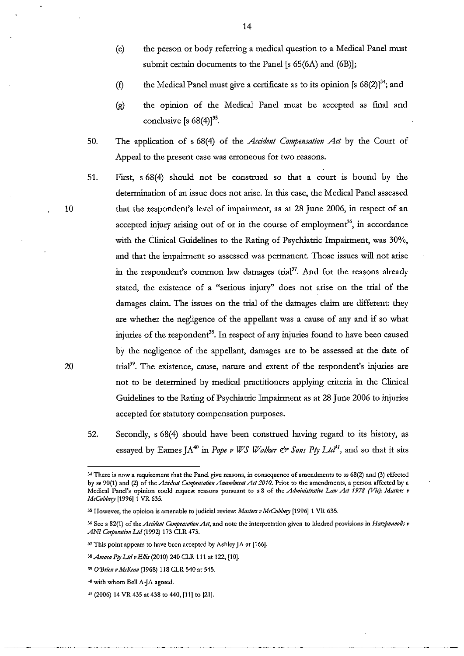- (e) the person or body referring a medical question to a Medical Panel must submit certain documents to the Panel [s 65(6A) and (6B)];
- (f) the Medical Panel must give a certificate as to its opinion [s  $68(2)$ ]<sup>34</sup>; and
- (g) the opinion of the Medical Panel must be accepted as final and conclusive [s  $68(4)$ ]<sup>35</sup>.
- 50. The application of s 68(4) of the *Accident Compensation Act* by the Court of Appeal to the present case was erroneous for two reasons.
- 51. First, s 68(4) should not be construed so that a court is bound by the determination of an issue does not arise. In this case, the Medical Panel assessed that the respondent's level of impairment, as at 28 June 2006, in respect of an accepted injury arising out of or in the course of employment<sup>36</sup>, in accordance with the Clinical Guidelines to the Rating of Psychiatric Impairment, was 30%, and that the impairment so assessed was permanent. Those issues will not arise in the respondent's common law damages trial<sup>37</sup>. And for the reasons already stated, the existence of a "serious injury" does not arise on the trial of the damages claim. The issues on the trial of the damages claim are different: they are whether the negligence of the appellant was a cause of any and if so what injuries of the respondent<sup>38</sup>. In respect of any injuries found to have been caused by the negligence of the appellant, damages are to be assessed at the date of trial<sup>39</sup>. The existence, cause, nature and extent of the respondent's injuries are not to be determined by medical practitioners applying criteria in the Clinical Guidelines to the Rating of Psychiatric Impairment as at 28 June 2006 to injuries accepted for statutory compensation purposes.
- 52. Secondly, s 68(4) should have been construed having regard to its history, as essayed by Eames JA<sup>40</sup> in *Pope v WS Walker*  $\mathcal{O}^*$  *Sons Pty Ltd<sup>11</sup>*, and so that it sits

**<sup>34</sup> There is** now a **requirement that the Panel give reasons, in consequence of amendments to ss 68(2) and (3) effected**  by ss 90(1) and (2) of the *Accident Compensation Amendment Act 2010*. Prior to the amendments, a person affected by a Medical Panel's opinion could request reasons pursuant to s 8 of the *Administrative Law Act 1978 (Vic): Masters v* McCubbery [1996] 1 VR 635.

**<sup>35</sup> However, the opinion is amenable to judicial review:** *Maslers v McOlbbery* **[1996] 1 VR 635.** 

<sup>&</sup>lt;sup>36</sup> See s 82(1) of the *Accident Compensation Act*, and note the interpretation given to kindred provisions in *Hatzimanolis v* ANI Corporation Ltd (1992) 173 CLR 473.

**<sup>37</sup> This point appears to have been accepted by Ashley JA at [166].** 

<sup>38</sup>*Allloca PIJ 1.Jd v Ellis* (2010) 240 CLR III at 122, [10].

*<sup>39</sup> O'Britll v MtKeoll* **(1968) 118 CLR 540 at 545.** 

**<sup>-1-0</sup> with whom Bell A-JA agreed.** 

<sup>&</sup>lt;sup>41</sup> (2006) 14 VR 435 at 438 to 440, [11] to [21].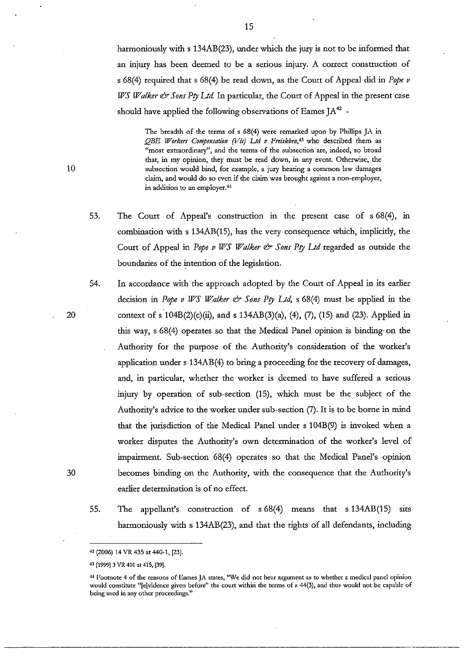harmoniously with s 134AB(23), under which the jury is not to be informed that an injury has been deemed to be a serious injury. A correct construction of s 68(4) required that s 68(4) be read down, as the Court of Appeal did in *Pope v WS Walker & Sons Pty Ltd.* In particular, the Court of Appeal in the present case should have applied the following observations of Eames  $IA^{42}$  -

The breadth of the terms of s 68(4) were remarked upon by Phillips JA in *QBE Workers Compensation (Vic) Ltd v Freisleben*<sup>43</sup> who described them as **"most extraordinary", and the terms of the subsection are, indeed, so broad that, in my opinion, they must be read down, in any event. Otherwise, the subsection would bind, for example, a jury hearing a common law damages claim, and would do so even if the claim was brought against a non-employer, in addition to an employer.44** 

- 53. The Court of Appeal's construction in the present case of s 68(4), in combination with s 134AB(15), has the very consequence which, implicidy, the Court of Appeal in *Pope v WS Walker & Sons Ptv Ltd* regarded as outside the boundaries of the intention of the legislation.
- 54. In accordance with the approach adopted by the Court of Appeal in its earlier decision in *Pope v WS Walker* & *Sons PlY Ud,* s 68(4) must be applied in the context of s  $104B(2)(c)(ii)$ , and s  $134AB(3)(a)$ , (4), (7), (15) and (23). Applied in this way, s 68(4) operates so that the Medical Panel opinion is binding on the Authority for the purpose of the Authority's consideration of the worker's application under s 134AB(4) to bring a proceeding for the recovery of damages, and, in particular, whether the worker is deemed to have suffered a serious injury by operation of sub-section (15), which must be the subject of the Authority's advice to the worker under sub-section (7). It is to be borne in mind that the jurisdiction of the Medical Panel under s 104B(9) is invoked when a worker disputes the Authority's own determination of the worker's level of impairment. Sub-section 68(4) operates so that the Medical Panel's opinion becomes binding on the Authority, with the consequence that the Authority's earlier determination is of no effect.
- 55. The appellant's construction of s 68(4) means that s 134AB(15) sits harmoniously with s 134AB(23), and that the rights of all defendants, including

10

20

<sup>&</sup>quot;(2006) 14 VR 435 at 440-1, [23].

<sup>43 [1999] 3</sup> VR 401 at 415, [39].

**<sup>+</sup>l Pootnote 4 of the reasons of Eames JA states, "We did not hear argument as to whether a medical panel opinion**  would constitute "[e]vidence given before" the court within the terms of s 44(3), and thus would not be capable of **being used in any other proceedings."**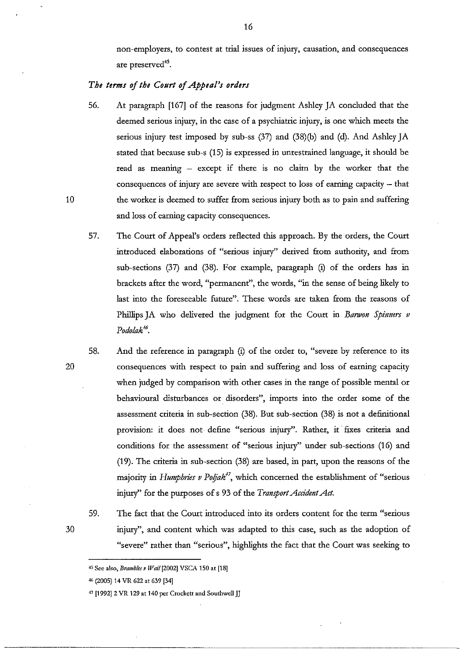non-employers, to contest at trial issues of injury, causation, and consequences are preserved<sup>45</sup>.

# *The terms of the Court of Appeal's orders*

- 56. At paragraph [167] of the reasons for judgment Ashley JA concluded that the deemed serious injury, in the case of a psychiatric injury, is one which meets the serious injury test imposed by sub-ss (37) and (38)(b) and (d). And Ashley JA stated that because sub-s (15) is expressed in unrestrained language, it should be read as meaning - except if there is no claim by the worker that the consequences of injury are severe with respect to loss of earning capacity - that the worker is deemed to suffer from serious injury both as to pain and suffering and loss of earning capacity consequences.
- 57. The Court of Appeal's orders reflected this approach. By the orders, the Court introduced elaborations of "serious injury" derived from authority, and from sub-sections (37) and (38). For example, paragraph (i) of the orders has in brackets after the word, "permanent", the words, "in the sense of being likely to last into the foreseeable future". These words are taken from the reasons of Phillips JA who delivered the judgment for the Court in *Banvon Spinners v*  Podolak<sup>16</sup>.
- 58. And the reference in paragraph (i) of the order to, "severe by reference to its consequences with respect to pain and suffering and loss of earning capacity when judged by comparison with other cases in the range of possible mental or behavioural disturbances or disorders", imports into the order some of the assessment criteria in sub-section (38). But sub-section (38) is not a definitional provision: it does not define "serious injury". Rather, it fixes criteria and conditions for the assessment of "serious injury" under sub-sections (16) and (19). The criteria in sub-section (38) are based, in part, upon the reasons of the majority in *Humphries v Poljak<sup>+7</sup>*, which concerned the establishment of "serious injury" for the purposes of s 93 of the *Transport Accident Act.* 
	- 59. The fact that the Court introduced into its orders content for the term "serious injury", and content which was adapted to this case, such as the adoption of "severe" rather than "serious", highlights the fact that the Court was seeking to

20

30

<sup>45</sup> See also, *Brambles v Wail* [2002] VSCA 150 at [18]

<sup>46 (2005) 14</sup> VR 622 at 639 [34]

<sup>&</sup>lt;sup>47</sup> [1992] 2 VR 129 at 140 per Crockett and Southwell JJ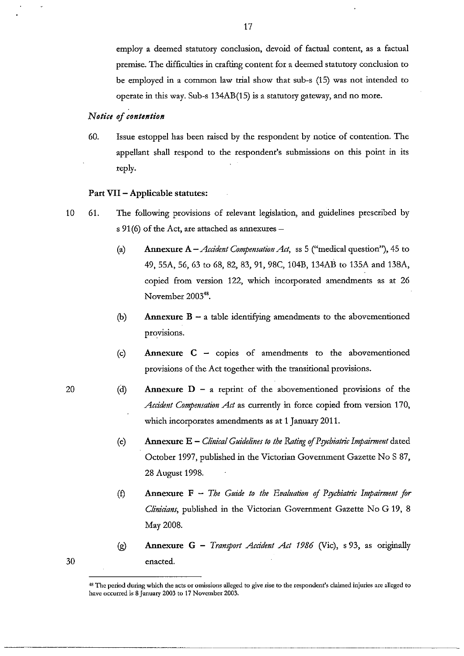employ a deemed statutory conclusion, devoid of factual content, as a factual premise. The difficulties in crafting content for a deemed statutory conclusion to be employed in a common law trial show that sub-s (15) was not intended to opetate in this way. Sub-s 134AB(15) is a statutory gateway, and no mote.

## *Notice of contention*

60. Issue estoppel has been taised by the tespondent by notice of contention. The appellant shall tespond to the tespondent's submissions on this point in its teply.

#### **Part VII - Applicable** statutes:

- 10 61. The following ptovisions of televant legislation, and guidelines ptescribed by s  $91(6)$  of the Act, are attached as annexures -
	- (a) **Annexure** A *Accident Compensation Act,* ss 5 ("medical question"), 45 to 49, 55A, 56, 63 to 68, 82, 83, 91, 98C, 104B, 134AB to 135A and 138A, copied from version 122, which incorporated amendments as at 26 November 2003<sup>48</sup>.
	- (b) **Annexure B -** a table identifying amendments to the abovementioned provisions.
	- (c) **Annexure C -** coples of amendments to the abovementioned provisions of the Act together with the transitional provisions.
	- (cl) **Annexure D -** a reprint of the abovementioned provisions of the *Accident Compensation Act* as currently in force copied from version 170, which incorporates amendments as at 1 January 2011.
		- (e) **Annexure E** *Clinical Guidelines to the Rating of Psychiatric Impairment* dated October 1997, published in the Victorian Government Gazette No S 87, 28 August 1998.
		- (f) **Annexure F** *The Guide to the Evaluation of Psychiatric Impairment for Clinicians,* published in the Victorian Government Gazette No G 19, 8 May 2008.
		- (g) **Annexure G -** *Transport Accident Act* 1986 (Vic), s 93, as originally enacted.

. ~-~--------------------.---.----

20

**<sup>48</sup> The period during which the acts or omissions alleged to give rise to the respondent's claimed injuries arc alleged to**  have occurred is 8 January 2003 to 17 November 2003.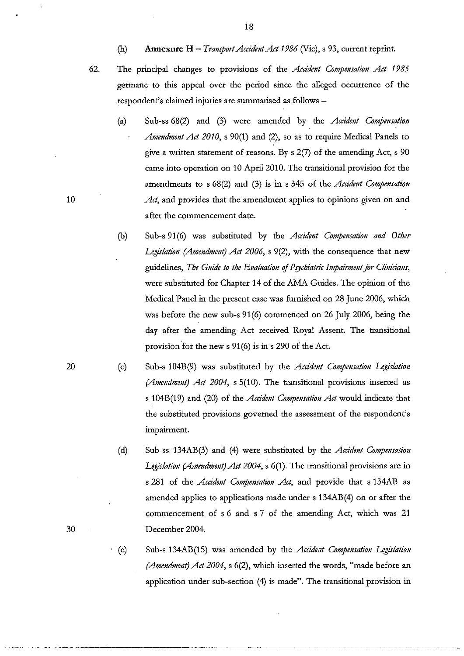- (h) **Annexure H** *Transport Accident Act 1986* (Vic), s 93, current reprint.
- 

62. The principal changes to provisions of the *Acddent Compensation Act 1985*  germane to this appeal over the period since the alleged occurrence of the respondent's claimed injuries are summarised as follows -

- (a) Sub-ss 68(2) and (3) were amended by the *Acddent Compensation Amendment Act 2010,* s 90(1) and (2), so as to require Medical Panels to give a written statement of reasons. By s 2(7) of the amending Act, s 90 came into operation on 10 April 2010. The transitional provision for the amendments to s 68(2) and (3) is in s 345 of the *Acddent Compensation*  Act, and provides that the amendment applies to opinions given on and after the commencement date.
- (b) Sub-s 91(6) was substituted by the *Acddent Compensation and Other Legislation (Amendment) Act 2006,* s 9(2), with the consequence that new guidelines, *The Guide to the Evaluation* of *Psychiatric Impainnent for Clinidans,*  were substituted for Chapter 14 of the AMA Guides. The opinion of the Medical Panel in the present case was furnished on 28 June 2006, which was before the new sub-s 91(6) commenced on 26 July 2006, being the day after the amending Act received Royal Assent. The transitional provision for the new s 91 (6) is in s 290 of the Act.
- (c) Sub-s 104B(9) was substituted by the *Acddent Compensation Legislation (Amendment) Act 2004,* s 5(10). The transitional provisions inserted as s 104B(19) and (20) of the *Acddent Compensation Act* would indicate that the substituted provisions governed the assessment of the respondent's impairment.
- (d) Sub-ss 134AB(3) and (4) were substituted by the *Acddent Compensation Legislation (Amendment) Act 2004,* s 6(1). The transitional provisions are in s 281 of the *Acddent Compensation Act,* and provide that s 134AB as amended applies to applications made under s 134AB(4) on or after the commencement of s 6 and s 7 of the amending Act, which was 21 December 2004.
- . (e) Sub-s 134AB(15) was amended by the *Acddent Compensation Legislation (Amendment) Act 2004,* s 6(2), which inserted the words, "made before an application under sub-section (4) is made". The transitional provision in

10

20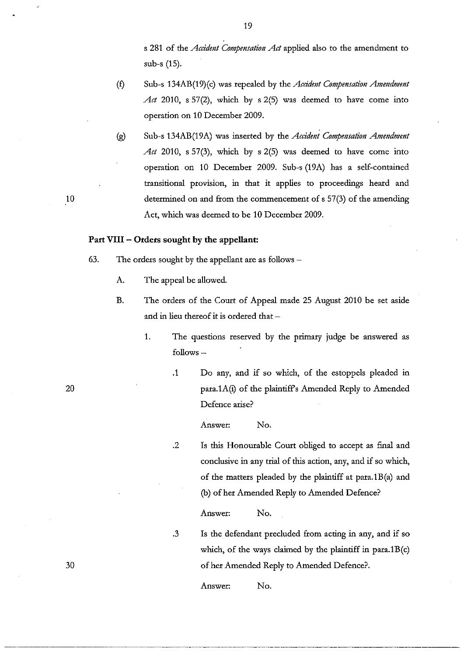s 281 of the *Accident Compensation Act* applied also to the amendment to sub-s (15).

- (f) Sub-s 134AB(19)(c) was repealed by the *Accident Compensation Amendment Act* 2010, s 57(2), which by s 2(5) was deemed to have come into operation on 10 December 2009.
- (g) Sub-s 134AB(19A) was inserted by the *Accident Compensation Amendment Act* 2010, s 57(3), which by s 2(5) was deemed to have come into operation on 10 December 2009. Sub-s (19A) has a self-contained transitional provision, in that it applies to proceedings heard and determined on and from the commencement of s 57(3) of the amending Act, which was deemed to be 10 December 2009.

# **Part VIII -** Orders sought **by the appellant:**

- 63. The orders sought by the appellant are as follows  $-$ 
	- A. The appeal be allowed.
	- B. The orders of the Court of Appeal made 25 August 2010 be set aside and in lieu thereof it is ordered that -
		- 1. The questions reserved by the primary judge be answered as  $follows -$ 
			- .1 Do any, and if so which, of the estoppels pleaded in para.1A(i) of the plaintiff's Amended Reply to Amended Defence arise?

Answer: No .

. 2 Is this Honourable Court obliged to accept as final and conclusive in any trial of this action, any, and if so which, of the matrers pleaded by the plaintiff at para.1B(a) and (b) of her Amended Reply to Amended Defence?

Answer: No.

.3 Is the defendant precluded from acting in any, and if so which, of the ways claimed by the plaintiff in para.1B(c) of her Amended Reply to Amended Defence?

Answer: No.

10

20